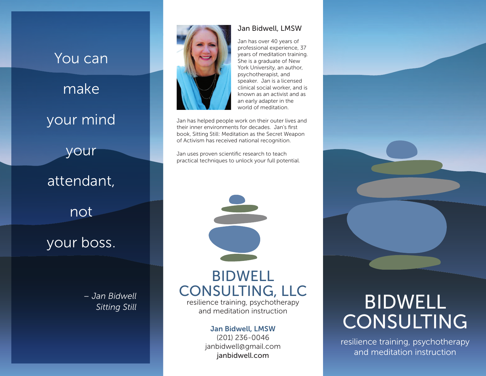



#### Jan Bidwell, LMSW

Jan has over 40 years of professional experience, 37 years of meditation training. She is a graduate of New York University, an author, psychotherapist, and speaker. Jan is a licensed clinical social worker, and is known as an activist and as an early adapter in the world of meditation.

Jan has helped people work on their outer lives and their inner environments for decades. Jan's first book, Sitting Still: Meditation as the Secret Weapon of Activism has received national recognition.

Jan uses proven scientific research to teach practical techniques to unlock your full potential.



resilience training, psychotherapy and meditation instruction

#### Jan Bidwell, LMSW

(201) 236-0046 janbidwell@gmail.com janbidwell.com

# BIDWELL CONSULTING

resilience training, psychotherapy and meditation instruction